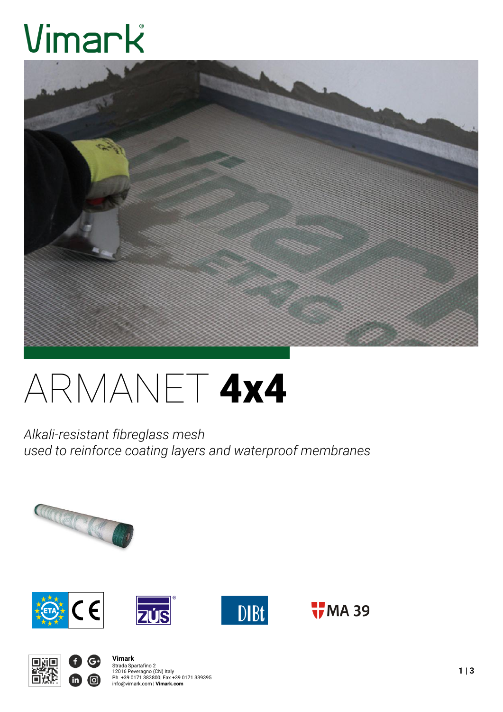# Vimark



# ARMANET 4x4

*Alkali-resistant fibreglass mesh used to reinforce coating layers and waterproof membranes*









 $\frac{1}{1}$ MA 39



**Vimark** Strada Spartafino 2<br>12016 Peveragno (CN) Italy<br>Ph. +39 0171 383800| Fax +39 0171 339395<br>info@vimark.com | **Vimark.com**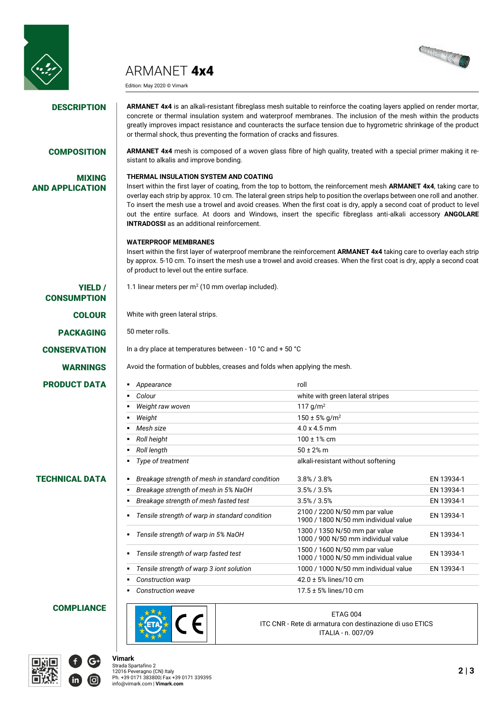

ARMANET 4x4

Edition: May 2020 © Vimark



**DESCRIPTION** ARMANET 4x4 is an alkali-resistant fibreglass mesh suitable to reinforce the coating layers applied on render mortar, concrete or thermal insulation system and waterproof membranes. The inclusion of the mesh within the products greatly improves impact resistance and counteracts the surface tension due to hygrometric shrinkage of the product or thermal shock, thus preventing the formation of cracks and fissures.

### COMPOSITION **ARMANET 4x4** mesh is composed of a woven glass fibre of high quality, treated with a special primer making it re-

MIXING AND APPLICATION sistant to alkalis and improve bonding.

#### **THERMAL INSULATION SYSTEM AND COATING**

Insert within the first layer of coating, from the top to bottom, the reinforcement mesh **ARMANET 4x4**, taking care to overlay each strip by approx. 10 cm. The lateral green strips help to position the overlaps between one roll and another. To insert the mesh use a trowel and avoid creases. When the first coat is dry, apply a second coat of product to level out the entire surface. At doors and Windows, insert the specific fibreglass anti-alkali accessory **ANGOLARE INTRADOSSI** as an additional reinforcement.

#### **WATERPROOF MEMBRANES**

Insert within the first layer of waterproof membrane the reinforcement **ARMANET 4x4** taking care to overlay each strip by approx. 5-10 cm. To insert the mesh use a trowel and avoid creases. When the first coat is dry, apply a second coat of product to level out the entire surface.

YIELD / **CONSUMPTION PRODUCT DATA** 

#### TECHNICAL DATA *Breakage strength of mesh in standard condition* 3.8% / 3.8% EN 13934-1

**COLOUR** White with green lateral strips.

1.1 linear meters per  $m^2$  (10 mm overlap included).

PACKAGING 50 meter rolls.

**CONSERVATION** In a dry place at temperatures between - 10 °C and + 50 °C

WARNINGS Avoid the formation of bubbles, creases and folds when applying the mesh.

| Appearance<br>٠                                      | roll                                                                  |            |
|------------------------------------------------------|-----------------------------------------------------------------------|------------|
| Colour<br>٠                                          | white with green lateral stripes                                      |            |
| Weight raw woven<br>٠                                | 117 g/m <sup>2</sup>                                                  |            |
| Weight<br>٠                                          | $150 \pm 5\%$ g/m <sup>2</sup>                                        |            |
| Mesh size<br>٠                                       | $4.0 \times 4.5$ mm                                                   |            |
| Roll height<br>٠                                     | $100 \pm 1\%$ cm                                                      |            |
| Roll length<br>٠                                     | $50 \pm 2\%$ m                                                        |            |
| Type of treatment<br>٠                               | alkali-resistant without softening                                    |            |
| Breakage strength of mesh in standard condition<br>٠ | $3.8\%$ / $3.8\%$                                                     | EN 13934-1 |
| Breakage strength of mesh in 5% NaOH<br>٠            | $3.5\% / 3.5\%$                                                       | EN 13934-1 |
| Breakage strength of mesh fasted test<br>٠           | $3.5\%$ / $3.5\%$                                                     | EN 13934-1 |
| • Tensile strength of warp in standard condition     | 2100 / 2200 N/50 mm par value<br>1900 / 1800 N/50 mm individual value | EN 13934-1 |
| Tensile strength of warp in 5% NaOH<br>٠             | 1300 / 1350 N/50 mm par value<br>1000 / 900 N/50 mm individual value  | EN 13934-1 |
| Tensile strength of warp fasted test<br>٠            | 1500 / 1600 N/50 mm par value<br>1000 / 1000 N/50 mm individual value | EN 13934-1 |
| Tensile strength of warp 3 iont solution<br>٠        | 1000 / 1000 N/50 mm individual value                                  | EN 13934-1 |
| Construction warp<br>٠                               | 42.0 ± 5% lines/10 cm                                                 |            |
| • Construction weave                                 | $17.5 \pm 5\%$ lines/10 cm                                            |            |

#### **COMPLIANCE**



ETAG 004 ITC CNR - Rete di armatura con destinazione di uso ETICS ITALIA - n. 007/09



**Vimark**